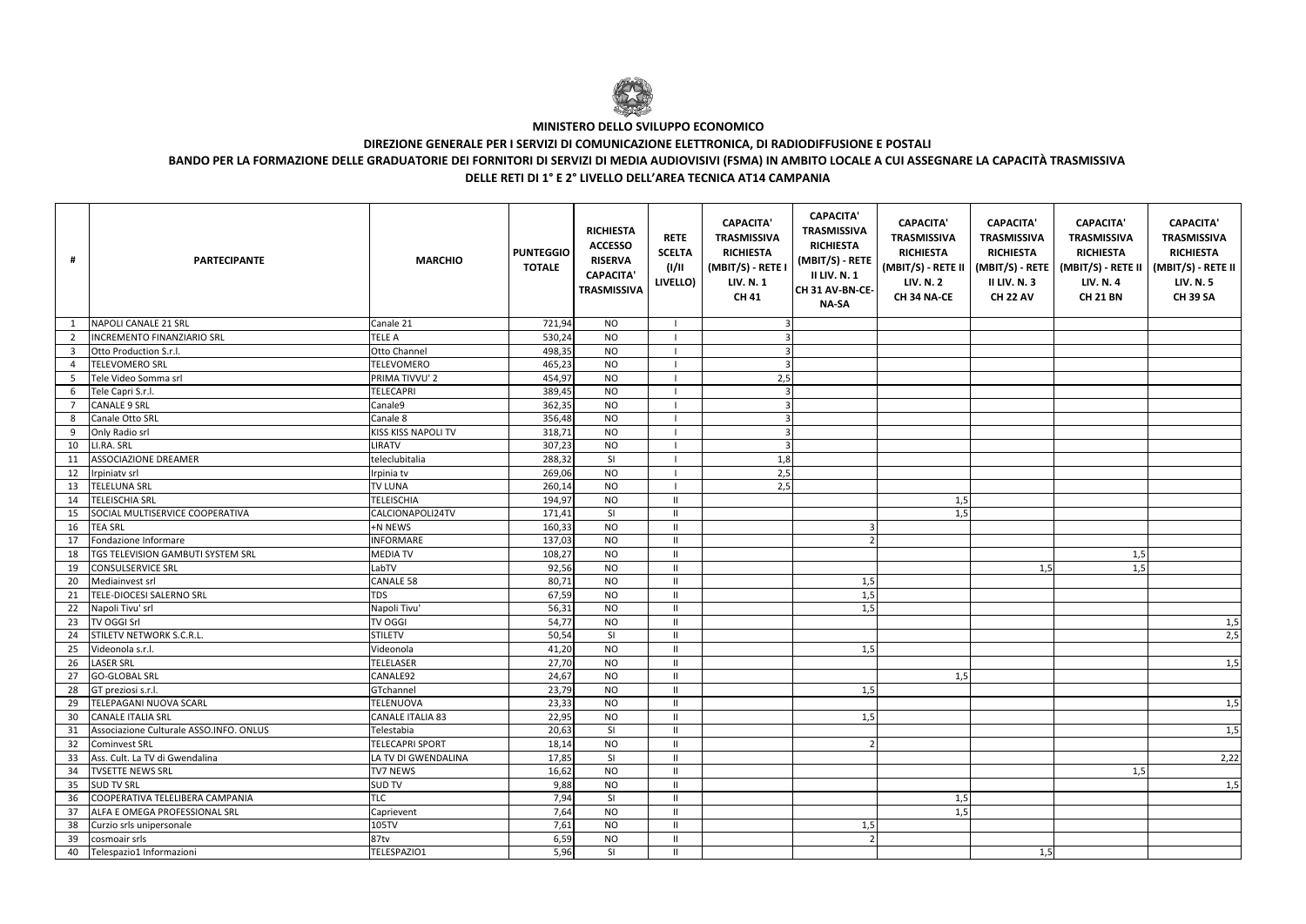| Ħ               | <b>PARTECIPANTE</b>                     | <b>MARCHIO</b>             | <b>PUNTEGGIO</b><br><b>TOTALE</b> | <b>RICHIESTA</b><br><b>ACCESSO</b><br><b>RISERVA</b><br><b>CAPACITA'</b><br><b>TRASMISSIVA</b> | <b>RETE</b><br><b>SCELTA</b><br>(1/11)<br>LIVELLO) | <b>CAPACITA'</b><br><b>TRASMISSIVA</b><br><b>RICHIESTA</b><br>(MBIT/S) - RETE I<br><b>LIV. N. 1</b><br><b>CH 41</b> | <b>CAPACITA'</b><br><b>TRASMISSIVA</b><br><b>RICHIESTA</b><br>$(MBIT/S) - REF$<br><b>II LIV. N. 1</b><br>CH 31 AV-BN-CE-<br><b>NA-SA</b> | <b>CAPACITA'</b><br><b>TRASMISSIVA</b><br><b>RICHIESTA</b><br><b>LIV. N. 2</b><br><b>CH 34 NA-CE</b> | <b>CAPACITA'</b><br><b>TRASMISSIVA</b><br><b>RICHIESTA</b><br><b>II LIV. N. 3</b><br><b>CH 22 AV</b> | <b>CAPACITA'</b><br><b>TRASMISSIVA</b><br><b>RICHIESTA</b><br>(MBIT/S) - RETE II   (MBIT/S) - RETE   (MBIT/S) - RETE II  <br><b>LIV. N. 4</b><br><b>CH 21 BN</b> | <b>CAPACITA'</b><br><b>TRASMISSIVA</b><br><b>RICHIESTA</b><br>(MBIT/S) - RETE II<br><b>LIV. N. 5</b><br><b>CH 39 SA</b> |
|-----------------|-----------------------------------------|----------------------------|-----------------------------------|------------------------------------------------------------------------------------------------|----------------------------------------------------|---------------------------------------------------------------------------------------------------------------------|------------------------------------------------------------------------------------------------------------------------------------------|------------------------------------------------------------------------------------------------------|------------------------------------------------------------------------------------------------------|------------------------------------------------------------------------------------------------------------------------------------------------------------------|-------------------------------------------------------------------------------------------------------------------------|
|                 | NAPOLI CANALE 21 SRL                    | Canale 21                  | 721,94                            | <b>NO</b>                                                                                      |                                                    | 3                                                                                                                   |                                                                                                                                          |                                                                                                      |                                                                                                      |                                                                                                                                                                  |                                                                                                                         |
|                 | <b>INCREMENTO FINANZIARIO SRL</b>       | <b>TELE A</b>              | 530,24                            | <b>NO</b>                                                                                      |                                                    | 3                                                                                                                   |                                                                                                                                          |                                                                                                      |                                                                                                      |                                                                                                                                                                  |                                                                                                                         |
| 3               | Otto Production S.r.l.                  | Otto Channel               | 498,35                            | <b>NO</b>                                                                                      |                                                    | 3                                                                                                                   |                                                                                                                                          |                                                                                                      |                                                                                                      |                                                                                                                                                                  |                                                                                                                         |
| 4               | <b>TELEVOMERO SRL</b>                   | <b>TELEVOMERO</b>          | 465,23                            | <b>NO</b>                                                                                      |                                                    |                                                                                                                     |                                                                                                                                          |                                                                                                      |                                                                                                      |                                                                                                                                                                  |                                                                                                                         |
| 5               | Tele Video Somma srl                    | PRIMA TIVVU' 2             | 454,97                            | <b>NO</b>                                                                                      |                                                    | 2,5                                                                                                                 |                                                                                                                                          |                                                                                                      |                                                                                                      |                                                                                                                                                                  |                                                                                                                         |
|                 | 6 Tele Capri S.r.l.                     | <b>TELECAPRI</b>           | 389,45                            | <b>NO</b>                                                                                      |                                                    | 3                                                                                                                   |                                                                                                                                          |                                                                                                      |                                                                                                      |                                                                                                                                                                  |                                                                                                                         |
| $7^{\circ}$     | <b>CANALE 9 SRL</b>                     | Canale9                    | 362,35                            | <b>NO</b>                                                                                      |                                                    | 3                                                                                                                   |                                                                                                                                          |                                                                                                      |                                                                                                      |                                                                                                                                                                  |                                                                                                                         |
| 8               | Canale Otto SRL                         | Canale 8                   | 356,48                            | <b>NO</b>                                                                                      |                                                    | 3                                                                                                                   |                                                                                                                                          |                                                                                                      |                                                                                                      |                                                                                                                                                                  |                                                                                                                         |
| 9               | Only Radio srl                          | <b>KISS KISS NAPOLI TV</b> | 318,71                            | <b>NO</b>                                                                                      |                                                    | $\overline{3}$                                                                                                      |                                                                                                                                          |                                                                                                      |                                                                                                      |                                                                                                                                                                  |                                                                                                                         |
| 10              | LI.RA. SRL                              | LIRATV                     | 307,23                            | <b>NO</b>                                                                                      |                                                    | $\mathbf{3}$                                                                                                        |                                                                                                                                          |                                                                                                      |                                                                                                      |                                                                                                                                                                  |                                                                                                                         |
| 11              | <b>ASSOCIAZIONE DREAMER</b>             | teleclubitalia             | 288,32                            | SI                                                                                             |                                                    | 1,8                                                                                                                 |                                                                                                                                          |                                                                                                      |                                                                                                      |                                                                                                                                                                  |                                                                                                                         |
| 12              | Irpiniatv srl                           | Irpinia tv                 | 269,06                            | <b>NO</b>                                                                                      |                                                    | 2,5                                                                                                                 |                                                                                                                                          |                                                                                                      |                                                                                                      |                                                                                                                                                                  |                                                                                                                         |
| 13              | <b>TELELUNA SRL</b>                     | <b>TV LUNA</b>             | 260,14                            | <b>NO</b>                                                                                      |                                                    | 2,5                                                                                                                 |                                                                                                                                          |                                                                                                      |                                                                                                      |                                                                                                                                                                  |                                                                                                                         |
| 14              | <b>TELEISCHIA SRL</b>                   | <b>TELEISCHIA</b>          | 194,97                            | <b>NO</b>                                                                                      | -11                                                |                                                                                                                     |                                                                                                                                          | 1,5                                                                                                  |                                                                                                      |                                                                                                                                                                  |                                                                                                                         |
| 15              | SOCIAL MULTISERVICE COOPERATIVA         | CALCIONAPOLI24TV           | 171,41                            | SI                                                                                             | $\mathbf{H}$                                       |                                                                                                                     |                                                                                                                                          | 1,5                                                                                                  |                                                                                                      |                                                                                                                                                                  |                                                                                                                         |
| 16              | <b>TEA SRL</b>                          | +N NEWS                    | 160,33                            | <b>NO</b>                                                                                      | -II.                                               |                                                                                                                     |                                                                                                                                          |                                                                                                      |                                                                                                      |                                                                                                                                                                  |                                                                                                                         |
| 17              | Fondazione Informare                    | <b>INFORMARE</b>           | 137,03                            | <b>NO</b>                                                                                      | -11                                                |                                                                                                                     |                                                                                                                                          |                                                                                                      |                                                                                                      |                                                                                                                                                                  |                                                                                                                         |
| 18              | TGS TELEVISION GAMBUTI SYSTEM SRL       | <b>MEDIATV</b>             | 108,27                            | <b>NO</b>                                                                                      | -H                                                 |                                                                                                                     |                                                                                                                                          |                                                                                                      |                                                                                                      | 1,5                                                                                                                                                              |                                                                                                                         |
| 19              | <b>CONSULSERVICE SRL</b>                | LabTV                      | 92,56                             | <b>NO</b>                                                                                      | -II                                                |                                                                                                                     |                                                                                                                                          |                                                                                                      | 1,5                                                                                                  | 1,5                                                                                                                                                              |                                                                                                                         |
| 20              | Mediainvest srl                         | <b>CANALE 58</b>           | 80,71                             | <b>NO</b>                                                                                      | -11                                                |                                                                                                                     | 1,5                                                                                                                                      |                                                                                                      |                                                                                                      |                                                                                                                                                                  |                                                                                                                         |
| 21              | TELE-DIOCESI SALERNO SRL                | <b>TDS</b>                 | 67,59                             | <b>NO</b>                                                                                      | -11                                                |                                                                                                                     | 1,5                                                                                                                                      |                                                                                                      |                                                                                                      |                                                                                                                                                                  |                                                                                                                         |
| 22              | Napoli Tivu' srl                        | Napoli Tivu'               | 56,31                             | <b>NO</b>                                                                                      | -11                                                |                                                                                                                     | 1,5                                                                                                                                      |                                                                                                      |                                                                                                      |                                                                                                                                                                  |                                                                                                                         |
|                 | 23 TV OGGI Srl                          | <b>TV OGGI</b>             | 54,77                             | <b>NO</b>                                                                                      | -11                                                |                                                                                                                     |                                                                                                                                          |                                                                                                      |                                                                                                      |                                                                                                                                                                  | 1,5                                                                                                                     |
| 24              | STILETV NETWORK S.C.R.L.                | <b>STILETV</b>             | 50,54                             | SI                                                                                             | -11                                                |                                                                                                                     |                                                                                                                                          |                                                                                                      |                                                                                                      |                                                                                                                                                                  | 2,5                                                                                                                     |
| 25              | Videonola s.r.l.                        | Videonola                  | 41,20                             | <b>NO</b>                                                                                      | -11                                                |                                                                                                                     | 1,5                                                                                                                                      |                                                                                                      |                                                                                                      |                                                                                                                                                                  |                                                                                                                         |
| 26              | <b>LASER SRL</b>                        | <b>TELELASER</b>           | 27,70                             | <b>NO</b>                                                                                      | - 11                                               |                                                                                                                     |                                                                                                                                          |                                                                                                      |                                                                                                      |                                                                                                                                                                  | 1,5                                                                                                                     |
| 27              | <b>GO-GLOBAL SRL</b>                    | CANALE92                   | 24,67                             | <b>NO</b>                                                                                      | H                                                  |                                                                                                                     |                                                                                                                                          | 1,5                                                                                                  |                                                                                                      |                                                                                                                                                                  |                                                                                                                         |
|                 | $\overline{28}$ GT preziosi s.r.l.      | GTchannel                  | 23,79                             | <b>NO</b>                                                                                      | -11                                                |                                                                                                                     | 1,5                                                                                                                                      |                                                                                                      |                                                                                                      |                                                                                                                                                                  |                                                                                                                         |
| 29              | TELEPAGANI NUOVA SCARL                  | <b>TELENUOVA</b>           | 23,33                             | <b>NO</b>                                                                                      | - 11                                               |                                                                                                                     |                                                                                                                                          |                                                                                                      |                                                                                                      |                                                                                                                                                                  | 1,5                                                                                                                     |
| 30 <sub>o</sub> | <b>CANALE ITALIA SRL</b>                | <b>CANALE ITALIA 83</b>    | 22,95                             | <b>NO</b>                                                                                      | -H                                                 |                                                                                                                     | 1,5                                                                                                                                      |                                                                                                      |                                                                                                      |                                                                                                                                                                  |                                                                                                                         |
| 31              | Associazione Culturale ASSO.INFO. ONLUS | Telestabia                 | 20,63                             | SI                                                                                             | $\mathbf{H}$                                       |                                                                                                                     |                                                                                                                                          |                                                                                                      |                                                                                                      |                                                                                                                                                                  | 1,5                                                                                                                     |
| 32              | <b>Cominvest SRL</b>                    | <b>TELECAPRI SPORT</b>     | 18,14                             | <b>NO</b>                                                                                      | $\mathbf{H}$                                       |                                                                                                                     |                                                                                                                                          |                                                                                                      |                                                                                                      |                                                                                                                                                                  |                                                                                                                         |
| 33              | Ass. Cult. La TV di Gwendalina          | LA TV DI GWENDALINA        | 17,85                             | SI                                                                                             | -II.                                               |                                                                                                                     |                                                                                                                                          |                                                                                                      |                                                                                                      |                                                                                                                                                                  | 2,22                                                                                                                    |
| 34              | <b>TVSETTE NEWS SRL</b>                 | <b>TV7 NEWS</b>            | 16,62                             | <b>NO</b>                                                                                      | -II.                                               |                                                                                                                     |                                                                                                                                          |                                                                                                      |                                                                                                      | 1,5                                                                                                                                                              |                                                                                                                         |
|                 | 35 SUD TV SRL                           | <b>SUD TV</b>              | 9,88                              | <b>NO</b>                                                                                      | -II.                                               |                                                                                                                     |                                                                                                                                          |                                                                                                      |                                                                                                      |                                                                                                                                                                  | 1,5                                                                                                                     |
| 36              | COOPERATIVA TELELIBERA CAMPANIA         | <b>TLC</b>                 | 7,94                              | SI                                                                                             | H                                                  |                                                                                                                     |                                                                                                                                          | 1,5                                                                                                  |                                                                                                      |                                                                                                                                                                  |                                                                                                                         |
| 37              | ALFA E OMEGA PROFESSIONAL SRL           | Caprievent                 | 7,64                              | <b>NO</b>                                                                                      | H                                                  |                                                                                                                     |                                                                                                                                          | 1,5                                                                                                  |                                                                                                      |                                                                                                                                                                  |                                                                                                                         |
|                 | 38 Curzio srls unipersonale             | 105TV                      | 7,61                              | <b>NO</b>                                                                                      | -11                                                |                                                                                                                     | 1,5                                                                                                                                      |                                                                                                      |                                                                                                      |                                                                                                                                                                  |                                                                                                                         |
|                 | 39 cosmoair srls                        | 87tv                       | 6,59                              | <b>NO</b>                                                                                      | -11                                                |                                                                                                                     |                                                                                                                                          |                                                                                                      |                                                                                                      |                                                                                                                                                                  |                                                                                                                         |
|                 | 40 Telespazio1 Informazioni             | TELESPAZIO1                | 5,96                              | SI                                                                                             | H                                                  |                                                                                                                     |                                                                                                                                          |                                                                                                      | 1,5                                                                                                  |                                                                                                                                                                  |                                                                                                                         |



**MINISTERO DELLO SVILUPPO ECONOMICO**

## **DIREZIONE GENERALE PER I SERVIZI DI COMUNICAZIONE ELETTRONICA, DI RADIODIFFUSIONE E POSTALI**

## **BANDO PER LA FORMAZIONE DELLE GRADUATORIE DEI FORNITORI DI SERVIZI DI MEDIA AUDIOVISIVI (FSMA) IN AMBITO LOCALE A CUI ASSEGNARE LA CAPACITÀ TRASMISSIVADELLE RETI DI 1° E 2° LIVELLO DELL'AREA TECNICA AT14 CAMPANIA**